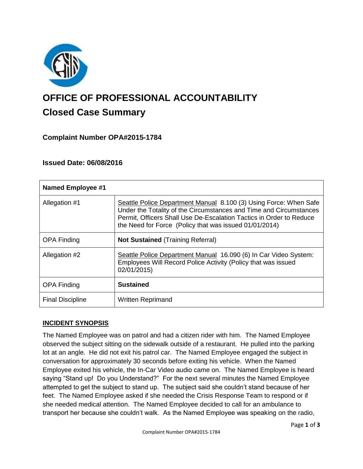

# **OFFICE OF PROFESSIONAL ACCOUNTABILITY Closed Case Summary**

# **Complaint Number OPA#2015-1784**

## **Issued Date: 06/08/2016**

| <b>Named Employee #1</b> |                                                                                                                                                                                                                                                                          |
|--------------------------|--------------------------------------------------------------------------------------------------------------------------------------------------------------------------------------------------------------------------------------------------------------------------|
| Allegation #1            | Seattle Police Department Manual 8.100 (3) Using Force: When Safe<br>Under the Totality of the Circumstances and Time and Circumstances<br>Permit, Officers Shall Use De-Escalation Tactics in Order to Reduce<br>the Need for Force (Policy that was issued 01/01/2014) |
| <b>OPA Finding</b>       | <b>Not Sustained (Training Referral)</b>                                                                                                                                                                                                                                 |
| Allegation #2            | Seattle Police Department Manual 16.090 (6) In Car Video System:<br>Employees Will Record Police Activity (Policy that was issued<br>02/01/2015)                                                                                                                         |
| <b>OPA Finding</b>       | <b>Sustained</b>                                                                                                                                                                                                                                                         |
| <b>Final Discipline</b>  | <b>Written Reprimand</b>                                                                                                                                                                                                                                                 |

## **INCIDENT SYNOPSIS**

The Named Employee was on patrol and had a citizen rider with him. The Named Employee observed the subject sitting on the sidewalk outside of a restaurant. He pulled into the parking lot at an angle. He did not exit his patrol car. The Named Employee engaged the subject in conversation for approximately 30 seconds before exiting his vehicle. When the Named Employee exited his vehicle, the In-Car Video audio came on. The Named Employee is heard saying "Stand up! Do you Understand?" For the next several minutes the Named Employee attempted to get the subject to stand up. The subject said she couldn't stand because of her feet. The Named Employee asked if she needed the Crisis Response Team to respond or if she needed medical attention. The Named Employee decided to call for an ambulance to transport her because she couldn't walk. As the Named Employee was speaking on the radio,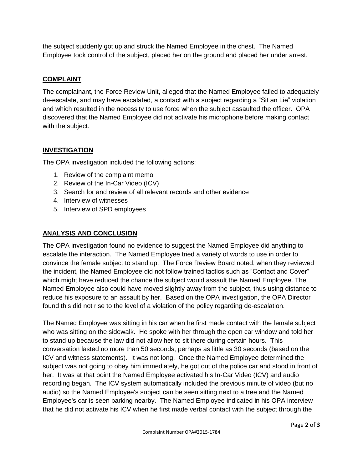the subject suddenly got up and struck the Named Employee in the chest. The Named Employee took control of the subject, placed her on the ground and placed her under arrest.

#### **COMPLAINT**

The complainant, the Force Review Unit, alleged that the Named Employee failed to adequately de-escalate, and may have escalated, a contact with a subject regarding a "Sit an Lie" violation and which resulted in the necessity to use force when the subject assaulted the officer. OPA discovered that the Named Employee did not activate his microphone before making contact with the subject.

#### **INVESTIGATION**

The OPA investigation included the following actions:

- 1. Review of the complaint memo
- 2. Review of the In-Car Video (ICV)
- 3. Search for and review of all relevant records and other evidence
- 4. Interview of witnesses
- 5. Interview of SPD employees

#### **ANALYSIS AND CONCLUSION**

The OPA investigation found no evidence to suggest the Named Employee did anything to escalate the interaction. The Named Employee tried a variety of words to use in order to convince the female subject to stand up. The Force Review Board noted, when they reviewed the incident, the Named Employee did not follow trained tactics such as "Contact and Cover" which might have reduced the chance the subject would assault the Named Employee. The Named Employee also could have moved slightly away from the subject, thus using distance to reduce his exposure to an assault by her. Based on the OPA investigation, the OPA Director found this did not rise to the level of a violation of the policy regarding de-escalation.

The Named Employee was sitting in his car when he first made contact with the female subject who was sitting on the sidewalk. He spoke with her through the open car window and told her to stand up because the law did not allow her to sit there during certain hours. This conversation lasted no more than 50 seconds, perhaps as little as 30 seconds (based on the ICV and witness statements). It was not long. Once the Named Employee determined the subject was not going to obey him immediately, he got out of the police car and stood in front of her. It was at that point the Named Employee activated his In-Car Video (ICV) and audio recording began. The ICV system automatically included the previous minute of video (but no audio) so the Named Employee's subject can be seen sitting next to a tree and the Named Employee's car is seen parking nearby. The Named Employee indicated in his OPA interview that he did not activate his ICV when he first made verbal contact with the subject through the